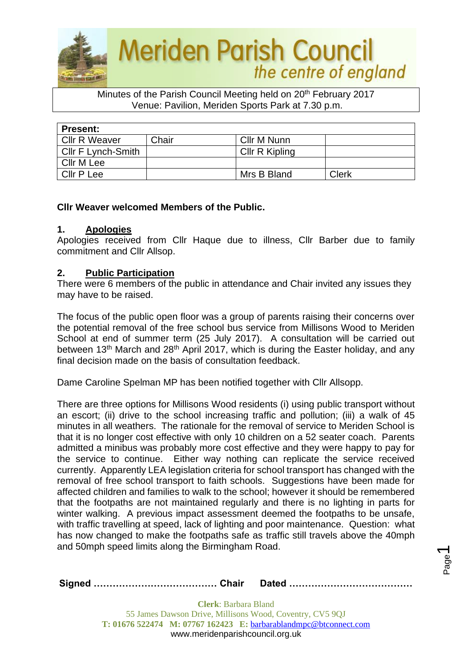

#### Minutes of the Parish Council Meeting held on 20<sup>th</sup> February 2017 Venue: Pavilion, Meriden Sports Park at 7.30 p.m.

| <b>Present:</b>      |       |                |       |  |  |
|----------------------|-------|----------------|-------|--|--|
| <b>Cllr R Weaver</b> | Chair | Cllr M Nunn    |       |  |  |
| Cllr F Lynch-Smith   |       | Cllr R Kipling |       |  |  |
| Cllr M Lee           |       |                |       |  |  |
| <b>Cllr P Lee</b>    |       | Mrs B Bland    | Clerk |  |  |

## **Cllr Weaver welcomed Members of the Public.**

#### **1. Apologies**

Apologies received from Cllr Haque due to illness, Cllr Barber due to family commitment and Cllr Allsop.

#### **2. Public Participation**

There were 6 members of the public in attendance and Chair invited any issues they may have to be raised.

The focus of the public open floor was a group of parents raising their concerns over the potential removal of the free school bus service from Millisons Wood to Meriden School at end of summer term (25 July 2017). A consultation will be carried out between 13<sup>th</sup> March and 28<sup>th</sup> April 2017, which is during the Easter holiday, and any final decision made on the basis of consultation feedback.

Dame Caroline Spelman MP has been notified together with Cllr Allsopp.

There are three options for Millisons Wood residents (i) using public transport without an escort; (ii) drive to the school increasing traffic and pollution; (iii) a walk of 45 minutes in all weathers. The rationale for the removal of service to Meriden School is that it is no longer cost effective with only 10 children on a 52 seater coach. Parents admitted a minibus was probably more cost effective and they were happy to pay for the service to continue. Either way nothing can replicate the service received currently. Apparently LEA legislation criteria for school transport has changed with the removal of free school transport to faith schools. Suggestions have been made for affected children and families to walk to the school; however it should be remembered that the footpaths are not maintained regularly and there is no lighting in parts for winter walking. A previous impact assessment deemed the footpaths to be unsafe, with traffic travelling at speed, lack of lighting and poor maintenance. Question: what has now changed to make the footpaths safe as traffic still travels above the 40mph and 50mph speed limits along the Birmingham Road.

|--|--|

Page  $\overline{\phantom{0}}$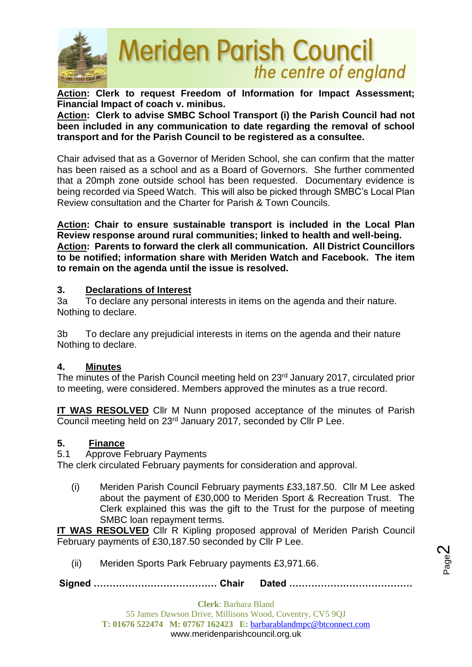

**Action: Clerk to request Freedom of Information for Impact Assessment; Financial Impact of coach v. minibus.**

**Action: Clerk to advise SMBC School Transport (i) the Parish Council had not been included in any communication to date regarding the removal of school transport and for the Parish Council to be registered as a consultee.**

Chair advised that as a Governor of Meriden School, she can confirm that the matter has been raised as a school and as a Board of Governors. She further commented that a 20mph zone outside school has been requested. Documentary evidence is being recorded via Speed Watch. This will also be picked through SMBC's Local Plan Review consultation and the Charter for Parish & Town Councils.

**Action: Chair to ensure sustainable transport is included in the Local Plan Review response around rural communities; linked to health and well-being. Action: Parents to forward the clerk all communication. All District Councillors to be notified; information share with Meriden Watch and Facebook. The item to remain on the agenda until the issue is resolved.**

## **3. Declarations of Interest**

3a To declare any personal interests in items on the agenda and their nature. Nothing to declare.

3b To declare any prejudicial interests in items on the agenda and their nature Nothing to declare.

#### **4. Minutes**

The minutes of the Parish Council meeting held on 23rd January 2017, circulated prior to meeting, were considered. Members approved the minutes as a true record.

**IT WAS RESOLVED** Cllr M Nunn proposed acceptance of the minutes of Parish Council meeting held on 23rd January 2017, seconded by Cllr P Lee.

## **5. Finance**

5.1 Approve February Payments

The clerk circulated February payments for consideration and approval.

(i) Meriden Parish Council February payments £33,187.50. Cllr M Lee asked about the payment of £30,000 to Meriden Sport & Recreation Trust. The Clerk explained this was the gift to the Trust for the purpose of meeting SMBC loan repayment terms.

**IT WAS RESOLVED** Cllr R Kipling proposed approval of Meriden Parish Council February payments of £30,187.50 seconded by Cllr P Lee.

(ii) Meriden Sports Park February payments £3,971.66.

**Signed ………………………………… Chair Dated …………………………………**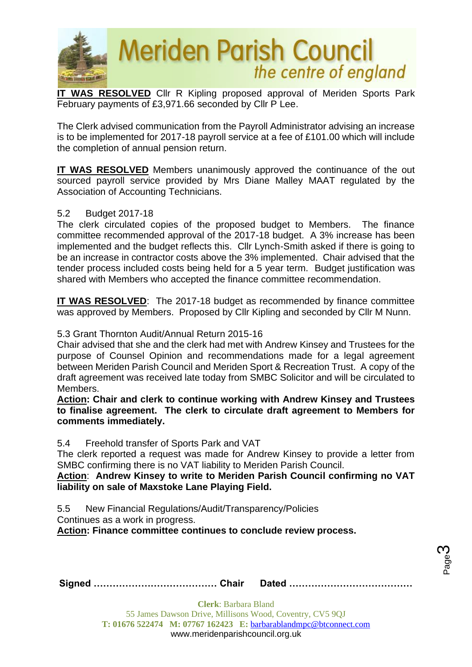

**IT WAS RESOLVED** Cllr R Kipling proposed approval of Meriden Sports Park February payments of £3,971.66 seconded by Cllr P Lee.

The Clerk advised communication from the Payroll Administrator advising an increase is to be implemented for 2017-18 payroll service at a fee of £101.00 which will include the completion of annual pension return.

**IT WAS RESOLVED** Members unanimously approved the continuance of the out sourced payroll service provided by Mrs Diane Malley MAAT regulated by the Association of Accounting Technicians.

#### 5.2 Budget 2017-18

The clerk circulated copies of the proposed budget to Members. The finance committee recommended approval of the 2017-18 budget. A 3% increase has been implemented and the budget reflects this. Cllr Lynch-Smith asked if there is going to be an increase in contractor costs above the 3% implemented. Chair advised that the tender process included costs being held for a 5 year term. Budget justification was shared with Members who accepted the finance committee recommendation.

**IT WAS RESOLVED**: The 2017-18 budget as recommended by finance committee was approved by Members. Proposed by Cllr Kipling and seconded by Cllr M Nunn.

#### 5.3 Grant Thornton Audit/Annual Return 2015-16

Chair advised that she and the clerk had met with Andrew Kinsey and Trustees for the purpose of Counsel Opinion and recommendations made for a legal agreement between Meriden Parish Council and Meriden Sport & Recreation Trust. A copy of the draft agreement was received late today from SMBC Solicitor and will be circulated to Members.

**Action: Chair and clerk to continue working with Andrew Kinsey and Trustees to finalise agreement. The clerk to circulate draft agreement to Members for comments immediately.**

5.4 Freehold transfer of Sports Park and VAT

The clerk reported a request was made for Andrew Kinsey to provide a letter from SMBC confirming there is no VAT liability to Meriden Parish Council.

**Action**: **Andrew Kinsey to write to Meriden Parish Council confirming no VAT liability on sale of Maxstoke Lane Playing Field.**

5.5 New Financial Regulations/Audit/Transparency/Policies

Continues as a work in progress.

**Action: Finance committee continues to conclude review process.**

Page ო

**Signed ………………………………… Chair Dated …………………………………**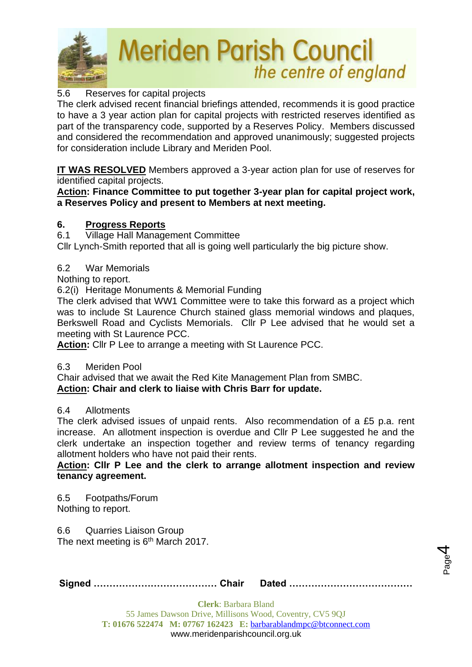

## 5.6 Reserves for capital projects

The clerk advised recent financial briefings attended, recommends it is good practice to have a 3 year action plan for capital projects with restricted reserves identified as part of the transparency code, supported by a Reserves Policy. Members discussed and considered the recommendation and approved unanimously; suggested projects for consideration include Library and Meriden Pool.

**IT WAS RESOLVED** Members approved a 3-year action plan for use of reserves for identified capital projects.

**Action: Finance Committee to put together 3-year plan for capital project work, a Reserves Policy and present to Members at next meeting.**

#### **6. Progress Reports**

6.1 Village Hall Management Committee

Cllr Lynch-Smith reported that all is going well particularly the big picture show.

## 6.2 War Memorials

Nothing to report.

6.2(i) Heritage Monuments & Memorial Funding

The clerk advised that WW1 Committee were to take this forward as a project which was to include St Laurence Church stained glass memorial windows and plaques, Berkswell Road and Cyclists Memorials. Cllr P Lee advised that he would set a meeting with St Laurence PCC.

**Action:** Cllr P Lee to arrange a meeting with St Laurence PCC.

#### 6.3 Meriden Pool

Chair advised that we await the Red Kite Management Plan from SMBC. **Action: Chair and clerk to liaise with Chris Barr for update.**

#### 6.4 Allotments

The clerk advised issues of unpaid rents. Also recommendation of a £5 p.a. rent increase. An allotment inspection is overdue and Cllr P Lee suggested he and the clerk undertake an inspection together and review terms of tenancy regarding allotment holders who have not paid their rents.

**Action: Cllr P Lee and the clerk to arrange allotment inspection and review tenancy agreement.**

6.5 Footpaths/Forum Nothing to report.

6.6 Quarries Liaison Group The next meeting is  $6<sup>th</sup>$  March 2017.

|--|--|

Page 4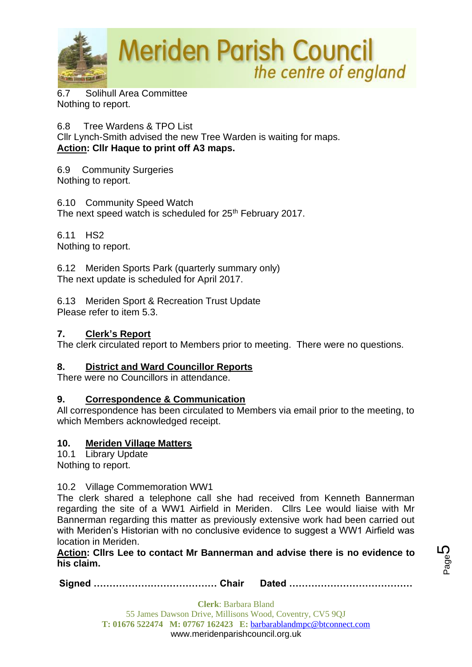

6.7 Solihull Area Committee Nothing to report.

6.8 Tree Wardens & TPO List

Cllr Lynch-Smith advised the new Tree Warden is waiting for maps. **Action: Cllr Haque to print off A3 maps.**

6.9 Community Surgeries Nothing to report.

6.10 Community Speed Watch The next speed watch is scheduled for 25<sup>th</sup> February 2017.

6.11 HS2 Nothing to report.

6.12 Meriden Sports Park (quarterly summary only) The next update is scheduled for April 2017.

6.13 Meriden Sport & Recreation Trust Update Please refer to item 5.3.

## **7. Clerk's Report**

The clerk circulated report to Members prior to meeting. There were no questions.

## **8. District and Ward Councillor Reports**

There were no Councillors in attendance.

## **9. Correspondence & Communication**

All correspondence has been circulated to Members via email prior to the meeting, to which Members acknowledged receipt.

## **10. Meriden Village Matters**

10.1 Library Update Nothing to report.

## 10.2 Village Commemoration WW1

The clerk shared a telephone call she had received from Kenneth Bannerman regarding the site of a WW1 Airfield in Meriden. Cllrs Lee would liaise with Mr Bannerman regarding this matter as previously extensive work had been carried out with Meriden's Historian with no conclusive evidence to suggest a WW1 Airfield was location in Meriden.

**Action: Cllrs Lee to contact Mr Bannerman and advise there is no evidence to his claim.**

**Signed ………………………………… Chair Dated …………………………………**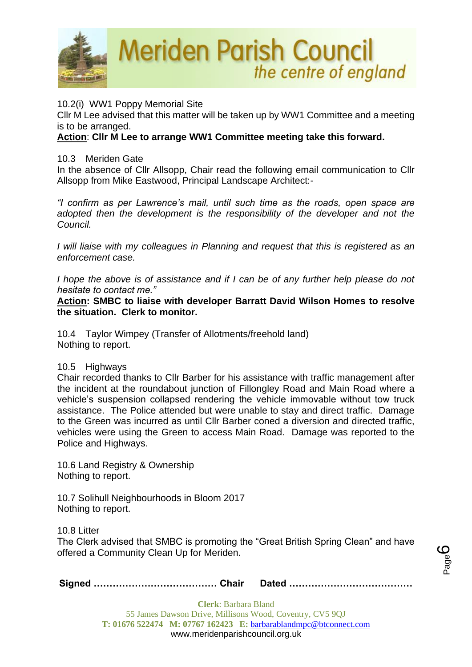

10.2(i) WW1 Poppy Memorial Site

Cllr M Lee advised that this matter will be taken up by WW1 Committee and a meeting is to be arranged.

## **Action**: **Cllr M Lee to arrange WW1 Committee meeting take this forward.**

#### 10.3 Meriden Gate

In the absence of Cllr Allsopp, Chair read the following email communication to Cllr Allsopp from Mike Eastwood, Principal Landscape Architect:-

*"I confirm as per Lawrence's mail, until such time as the roads, open space are*  adopted then the development is the responsibility of the developer and not the *Council.* 

*I will liaise with my colleagues in Planning and request that this is registered as an enforcement case.*

*I hope the above is of assistance and if I can be of any further help please do not hesitate to contact me."*

**Action: SMBC to liaise with developer Barratt David Wilson Homes to resolve the situation. Clerk to monitor.**

10.4 Taylor Wimpey (Transfer of Allotments/freehold land) Nothing to report.

#### 10.5 Highways

Chair recorded thanks to Cllr Barber for his assistance with traffic management after the incident at the roundabout junction of Fillongley Road and Main Road where a vehicle's suspension collapsed rendering the vehicle immovable without tow truck assistance. The Police attended but were unable to stay and direct traffic. Damage to the Green was incurred as until Cllr Barber coned a diversion and directed traffic, vehicles were using the Green to access Main Road. Damage was reported to the Police and Highways.

10.6 Land Registry & Ownership Nothing to report.

10.7 Solihull Neighbourhoods in Bloom 2017 Nothing to report.

10.8 Litter

The Clerk advised that SMBC is promoting the "Great British Spring Clean" and have offered a Community Clean Up for Meriden.

**Signed ………………………………… Chair Dated …………………………………**

Page ပ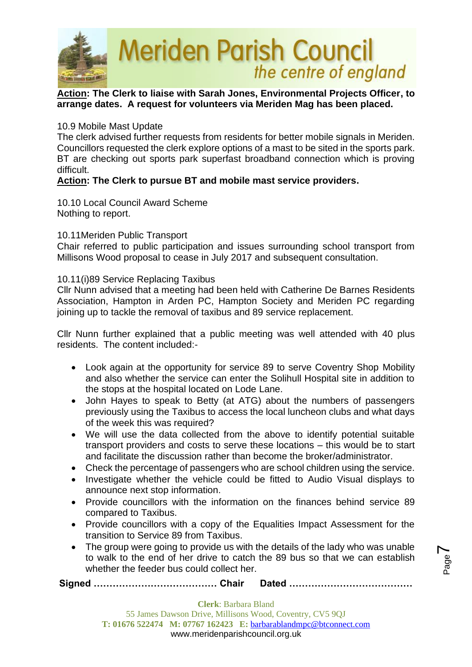

#### **Action: The Clerk to liaise with Sarah Jones, Environmental Projects Officer, to arrange dates. A request for volunteers via Meriden Mag has been placed.**

#### 10.9 Mobile Mast Update

The clerk advised further requests from residents for better mobile signals in Meriden. Councillors requested the clerk explore options of a mast to be sited in the sports park. BT are checking out sports park superfast broadband connection which is proving difficult.

#### **Action: The Clerk to pursue BT and mobile mast service providers.**

10.10 Local Council Award Scheme Nothing to report.

#### 10.11Meriden Public Transport

Chair referred to public participation and issues surrounding school transport from Millisons Wood proposal to cease in July 2017 and subsequent consultation.

#### 10.11(i)89 Service Replacing Taxibus

Cllr Nunn advised that a meeting had been held with Catherine De Barnes Residents Association, Hampton in Arden PC, Hampton Society and Meriden PC regarding joining up to tackle the removal of taxibus and 89 service replacement.

Cllr Nunn further explained that a public meeting was well attended with 40 plus residents. The content included:-

- Look again at the opportunity for service 89 to serve Coventry Shop Mobility and also whether the service can enter the Solihull Hospital site in addition to the stops at the hospital located on Lode Lane.
- John Hayes to speak to Betty (at ATG) about the numbers of passengers previously using the Taxibus to access the local luncheon clubs and what days of the week this was required?
- We will use the data collected from the above to identify potential suitable transport providers and costs to serve these locations – this would be to start and facilitate the discussion rather than become the broker/administrator.
- Check the percentage of passengers who are school children using the service.
- Investigate whether the vehicle could be fitted to Audio Visual displays to announce next stop information.
- Provide councillors with the information on the finances behind service 89 compared to Taxibus.
- Provide councillors with a copy of the Equalities Impact Assessment for the transition to Service 89 from Taxibus.
- The group were going to provide us with the details of the lady who was unable to walk to the end of her drive to catch the 89 bus so that we can establish whether the feeder bus could collect her.

**Signed ………………………………… Chair Dated …………………………………**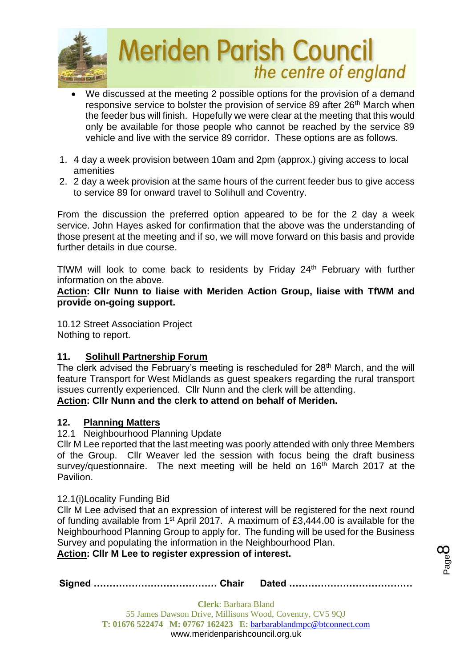

- We discussed at the meeting 2 possible options for the provision of a demand responsive service to bolster the provision of service 89 after 26<sup>th</sup> March when the feeder bus will finish. Hopefully we were clear at the meeting that this would only be available for those people who cannot be reached by the service 89 vehicle and live with the service 89 corridor. These options are as follows.
- 1. 4 day a week provision between 10am and 2pm (approx.) giving access to local amenities
- 2. 2 day a week provision at the same hours of the current feeder bus to give access to service 89 for onward travel to Solihull and Coventry.

From the discussion the preferred option appeared to be for the 2 day a week service. John Hayes asked for confirmation that the above was the understanding of those present at the meeting and if so, we will move forward on this basis and provide further details in due course.

TfWM will look to come back to residents by Friday 24<sup>th</sup> February with further information on the above.

**Action: Cllr Nunn to liaise with Meriden Action Group, liaise with TfWM and provide on-going support.**

10.12 Street Association Project Nothing to report.

## **11. Solihull Partnership Forum**

The clerk advised the February's meeting is rescheduled for 28<sup>th</sup> March, and the will feature Transport for West Midlands as guest speakers regarding the rural transport issues currently experienced. Cllr Nunn and the clerk will be attending. **Action: Cllr Nunn and the clerk to attend on behalf of Meriden.**

## **12. Planning Matters**

12.1 Neighbourhood Planning Update

Cllr M Lee reported that the last meeting was poorly attended with only three Members of the Group. Cllr Weaver led the session with focus being the draft business survey/questionnaire. The next meeting will be held on 16<sup>th</sup> March 2017 at the Pavilion.

#### 12.1(i)Locality Funding Bid

Cllr M Lee advised that an expression of interest will be registered for the next round of funding available from 1<sup>st</sup> April 2017. A maximum of £3,444.00 is available for the Neighbourhood Planning Group to apply for. The funding will be used for the Business Survey and populating the information in the Neighbourhood Plan.

Page  $\infty$ 

**Action: Cllr M Lee to register expression of interest.**

|--|--|--|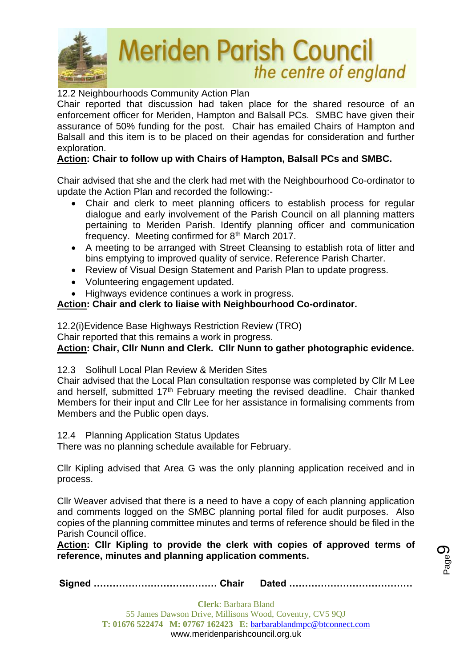

#### 12.2 Neighbourhoods Community Action Plan

Chair reported that discussion had taken place for the shared resource of an enforcement officer for Meriden, Hampton and Balsall PCs. SMBC have given their assurance of 50% funding for the post. Chair has emailed Chairs of Hampton and Balsall and this item is to be placed on their agendas for consideration and further exploration.

#### **Action: Chair to follow up with Chairs of Hampton, Balsall PCs and SMBC.**

Chair advised that she and the clerk had met with the Neighbourhood Co-ordinator to update the Action Plan and recorded the following:-

- Chair and clerk to meet planning officers to establish process for regular dialogue and early involvement of the Parish Council on all planning matters pertaining to Meriden Parish. Identify planning officer and communication frequency. Meeting confirmed for 8th March 2017.
- A meeting to be arranged with Street Cleansing to establish rota of litter and bins emptying to improved quality of service. Reference Parish Charter.
- Review of Visual Design Statement and Parish Plan to update progress.
- Volunteering engagement updated.
- Highways evidence continues a work in progress.

#### **Action: Chair and clerk to liaise with Neighbourhood Co-ordinator.**

12.2(i)Evidence Base Highways Restriction Review (TRO)

Chair reported that this remains a work in progress.

**Action: Chair, Cllr Nunn and Clerk. Cllr Nunn to gather photographic evidence.**

#### 12.3 Solihull Local Plan Review & Meriden Sites

Chair advised that the Local Plan consultation response was completed by Cllr M Lee and herself, submitted 17<sup>th</sup> February meeting the revised deadline. Chair thanked Members for their input and Cllr Lee for her assistance in formalising comments from Members and the Public open days.

12.4 Planning Application Status Updates

There was no planning schedule available for February.

Cllr Kipling advised that Area G was the only planning application received and in process.

Cllr Weaver advised that there is a need to have a copy of each planning application and comments logged on the SMBC planning portal filed for audit purposes. Also copies of the planning committee minutes and terms of reference should be filed in the Parish Council office.

**Action: Cllr Kipling to provide the clerk with copies of approved terms of reference, minutes and planning application comments.**

**Signed ………………………………… Chair Dated …………………………………**